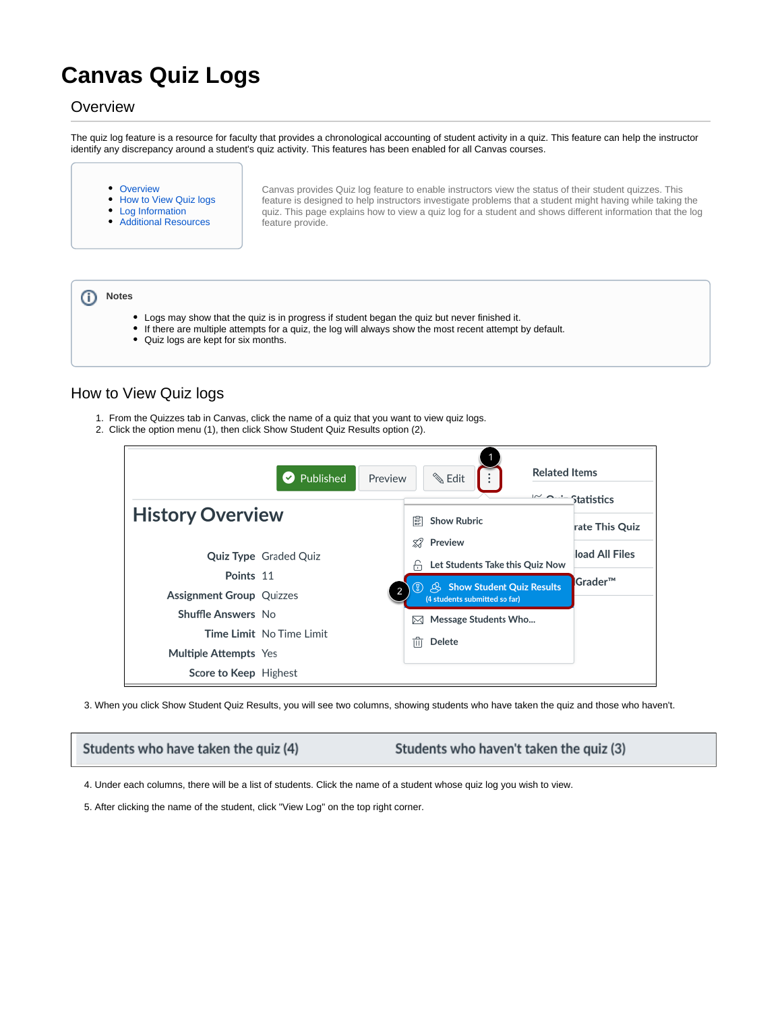# **Canvas Quiz Logs**

#### <span id="page-0-0"></span>**Overview**

The quiz log feature is a resource for faculty that provides a chronological accounting of student activity in a quiz. This feature can help the instructor identify any discrepancy around a student's quiz activity. This features has been enabled for all Canvas courses.

- [Overview](#page-0-0)
- [How to View Quiz logs](#page-0-1)
- [Log Information](#page-1-0)
- [Additional Resources](#page-2-0)

Canvas provides Quiz log feature to enable instructors view the status of their student quizzes. This feature is designed to help instructors investigate problems that a student might having while taking the quiz. This page explains how to view a quiz log for a student and shows different information that the log feature provide.

#### ⊕ **Notes**

- Logs may show that the quiz is in progress if student began the quiz but never finished it.
- If there are multiple attempts for a quiz, the log will always show the most recent attempt by default.
	- Quiz logs are kept for six months.

#### <span id="page-0-1"></span>How to View Quiz logs

- 1. From the Quizzes tab in Canvas, click the name of a quiz that you want to view quiz logs.
- 2. Click the option menu (1), then click Show Student Quiz Results option (2).

| Published<br>Ø                                               | <b>Related Items</b><br>§ Edit<br>Preview                     | $\sim$ $\sim$ Statistics |
|--------------------------------------------------------------|---------------------------------------------------------------|--------------------------|
| <b>History Overview</b>                                      | 圍<br><b>Show Rubric</b><br>S.X<br>Preview                     | rate This Quiz           |
| <b>Quiz Type Graded Quiz</b><br>Points 11                    | Let Students Take this Quiz Now<br>m                          | load All Files           |
| <b>Assignment Group Quizzes</b>                              | AS Show Student Quiz Results<br>(4 students submitted so far) | Grader <sup>™</sup>      |
| <b>Shuffle Answers</b> No<br><b>Time Limit</b> No Time Limit | Message Students Who<br>$\bowtie$<br>īति<br>Delete            |                          |
| <b>Multiple Attempts</b> Yes<br>Score to Keep Highest        |                                                               |                          |

3. When you click Show Student Quiz Results, you will see two columns, showing students who have taken the quiz and those who haven't.

Students who have taken the quiz (4)

Students who haven't taken the quiz (3)

4. Under each columns, there will be a list of students. Click the name of a student whose quiz log you wish to view.

5. After clicking the name of the student, click "View Log" on the top right corner.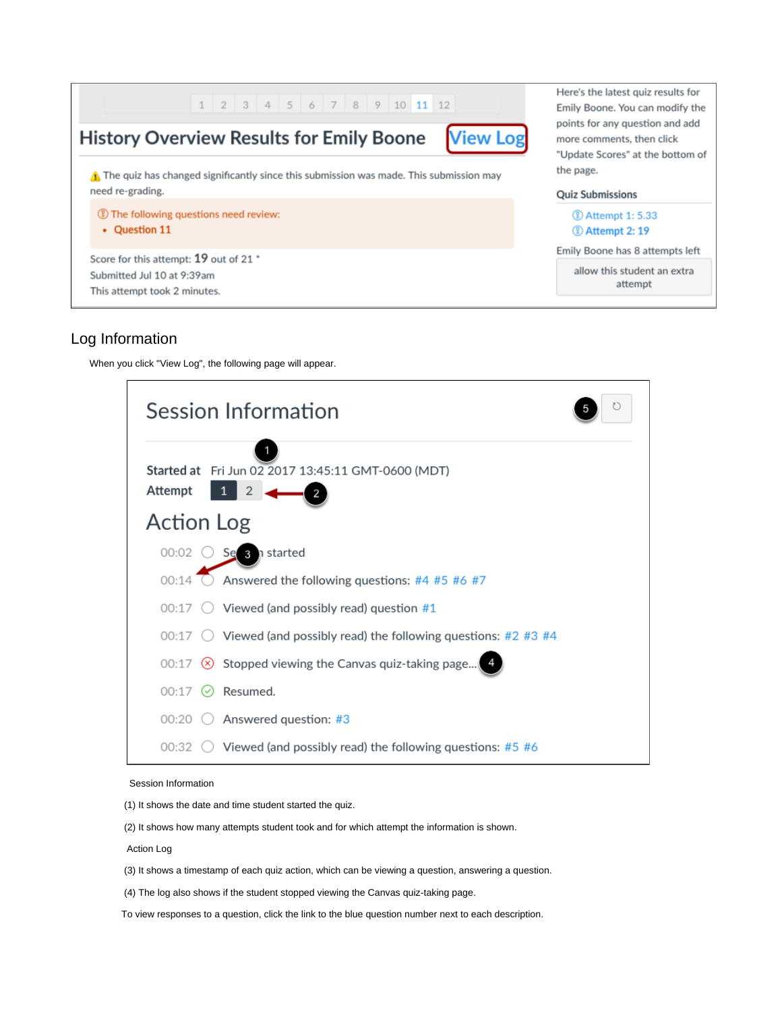| $1 \ 2 \ 3 \ 4 \ 5 \ 6 \ 7 \ 8 \ 9 \ 10 \ 11 \ 12$                                                                   | Here's the latest quiz results for<br>Emily Boone. You can modify the<br>points for any question and add<br>more comments, then click<br>"Update Scores" at the bottom of<br>the page.<br><b>Quiz Submissions</b> |
|----------------------------------------------------------------------------------------------------------------------|-------------------------------------------------------------------------------------------------------------------------------------------------------------------------------------------------------------------|
| <b>View Log</b><br><b>History Overview Results for Emily Boone</b>                                                   |                                                                                                                                                                                                                   |
| $\Lambda$ The quiz has changed significantly since this submission was made. This submission may<br>need re-grading. |                                                                                                                                                                                                                   |
| <b>(2) The following questions need review:</b><br>• Question 11                                                     | <b>D</b> Attempt 1: 5.33<br><b>19</b> Attempt 2: 19                                                                                                                                                               |
| Score for this attempt: 19 out of 21 *<br>Submitted Jul 10 at 9:39am<br>This attempt took 2 minutes.                 | Emily Boone has 8 attempts left<br>allow this student an extra<br>attempt                                                                                                                                         |

### <span id="page-1-0"></span>Log Information

When you click "View Log", the following page will appear.



#### Session Information

(1) It shows the date and time student started the quiz.

(2) It shows how many attempts student took and for which attempt the information is shown.

Action Log

(3) It shows a timestamp of each quiz action, which can be viewing a question, answering a question.

(4) The log also shows if the student stopped viewing the Canvas quiz-taking page.

To view responses to a question, click the link to the blue question number next to each description.

の